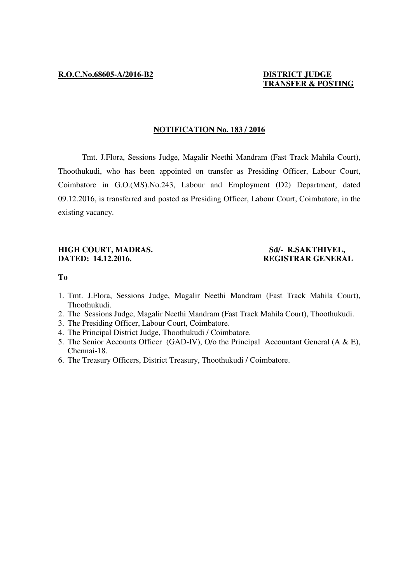# **TRANSFER & POSTING**

# **NOTIFICATION No. 183 / 2016**

 Tmt. J.Flora, Sessions Judge, Magalir Neethi Mandram (Fast Track Mahila Court), Thoothukudi, who has been appointed on transfer as Presiding Officer, Labour Court, Coimbatore in G.O.(MS).No.243, Labour and Employment (D2) Department, dated 09.12.2016, is transferred and posted as Presiding Officer, Labour Court, Coimbatore, in the existing vacancy.

# **HIGH COURT, MADRAS.** Sd/- R.SAKTHIVEL, **DATED: 14.12.2016. REGISTRAR GENERAL**

# **To**

- 1. Tmt. J.Flora, Sessions Judge, Magalir Neethi Mandram (Fast Track Mahila Court), Thoothukudi.
- 2. The Sessions Judge, Magalir Neethi Mandram (Fast Track Mahila Court), Thoothukudi.
- 3. The Presiding Officer, Labour Court, Coimbatore.
- 4. The Principal District Judge, Thoothukudi / Coimbatore.
- 5. The Senior Accounts Officer (GAD-IV), O/o the Principal Accountant General (A & E), Chennai-18.
- 6. The Treasury Officers, District Treasury, Thoothukudi / Coimbatore.